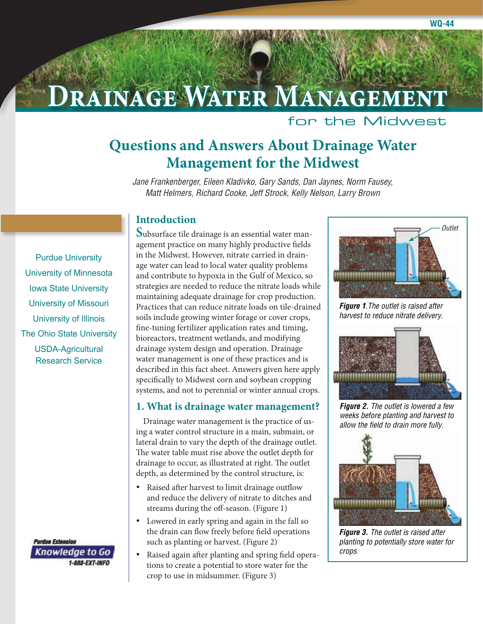# **Drainage Water Management**

### for the Midwest

## **Questions and Answers About Drainage Water Management for the Midwest**

*Jane Frankenberger, Eileen Kladivko, Gary Sands, Dan Jaynes, Norm Fausey, Matt Helmers, Richard Cooke, Jeff Strock, Kelly Nelson, Larry Brown*

### **Introduction**

[Purdue University](http://www.purdue.edu) [University of Minnesota](http://www.umn.edu/) [Iowa State University](http://www.iastate.edu/) [University of Missouri](http://www.missouri.edu/) [University of Illinois](http://www.uiuc.edu/) [The Ohio State University](http://www.osu.edu/) [USDA-Agricultural](http://www.ars.usda.gov)  Research Service

> **Purdue Extension Knowledge to Go** 1-888-EXT-INFO

**S**ubsurface tile drainage is an essential water management practice on many highly productive fields in the Midwest. However, nitrate carried in drainage water can lead to local water quality problems and contribute to hypoxia in the Gulf of Mexico, so strategies are needed to reduce the nitrate loads while maintaining adequate drainage for crop production. Practices that can reduce nitrate loads on tile-drained soils include growing winter forage or cover crops, fine-tuning fertilizer application rates and timing, bioreactors, treatment wetlands, and modifying drainage system design and operation. Drainage water management is one of these practices and is described in this fact sheet. Answers given here apply specifically to Midwest corn and soybean cropping systems, and not to perennial or winter annual crops.

#### **1. What is drainage water management?**

Drainage water management is the practice of using a water control structure in a main, submain, or lateral drain to vary the depth of the drainage outlet. The water table must rise above the outlet depth for drainage to occur, as illustrated at right. The outlet depth, as determined by the control structure, is:

- • Raised after harvest to limit drainage outflow and reduce the delivery of nitrate to ditches and streams during the off-season. (Figure 1)
- Lowered in early spring and again in the fall so the drain can flow freely before field operations such as planting or harvest. (Figure 2)
- Raised again after planting and spring field operations to create a potential to store water for the crop to use in midsummer. (Figure 3)



*Figure 1.The outlet is raised after harvest to reduce nitrate delivery.*



*Figure 2. The outlet is lowered a few weeks before planting and harvest to allow the field to drain more fully.*



*Figure 3. The outlet is raised after planting to potentially store water for crops.*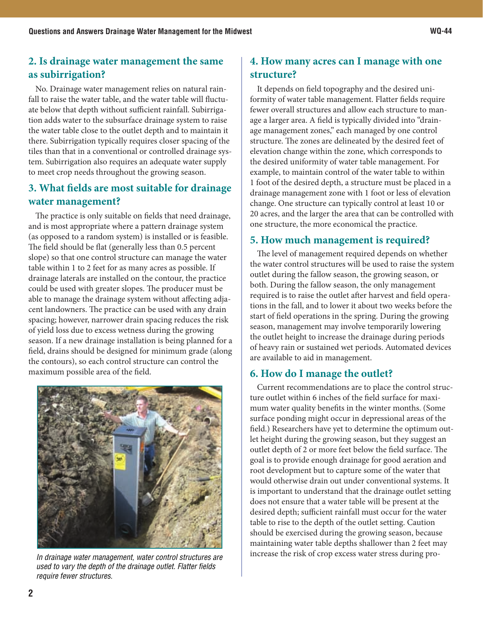### **2. Is drainage water management the same as subirrigation?**

No. Drainage water management relies on natural rainfall to raise the water table, and the water table will fluctuate below that depth without sufficient rainfall. Subirrigation adds water to the subsurface drainage system to raise the water table close to the outlet depth and to maintain it there. Subirrigation typically requires closer spacing of the tiles than that in a conventional or controlled drainage system. Subirrigation also requires an adequate water supply to meet crop needs throughout the growing season.

### **3. What fields are most suitable for drainage water management?**

The practice is only suitable on fields that need drainage, and is most appropriate where a pattern drainage system (as opposed to a random system) is installed or is feasible. The field should be flat (generally less than 0.5 percent slope) so that one control structure can manage the water table within 1 to 2 feet for as many acres as possible. If drainage laterals are installed on the contour, the practice could be used with greater slopes. The producer must be able to manage the drainage system without affecting adjacent landowners. The practice can be used with any drain spacing; however, narrower drain spacing reduces the risk of yield loss due to excess wetness during the growing season. If a new drainage installation is being planned for a field, drains should be designed for minimum grade (along the contours), so each control structure can control the maximum possible area of the field.



*used to vary the depth of the drainage outlet. Flatter fields require fewer structures.*

### **4. How many acres can I manage with one structure?**

It depends on field topography and the desired uniformity of water table management. Flatter fields require fewer overall structures and allow each structure to manage a larger area. A field is typically divided into "drainage management zones," each managed by one control structure. The zones are delineated by the desired feet of elevation change within the zone, which corresponds to the desired uniformity of water table management. For example, to maintain control of the water table to within 1 foot of the desired depth, a structure must be placed in a drainage management zone with 1 foot or less of elevation change. One structure can typically control at least 10 or 20 acres, and the larger the area that can be controlled with one structure, the more economical the practice.

### **5. How much management is required?**

The level of management required depends on whether the water control structures will be used to raise the system outlet during the fallow season, the growing season, or both. During the fallow season, the only management required is to raise the outlet after harvest and field operations in the fall, and to lower it about two weeks before the start of field operations in the spring. During the growing season, management may involve temporarily lowering the outlet height to increase the drainage during periods of heavy rain or sustained wet periods. Automated devices are available to aid in management.

### **6. How do I manage the outlet?**

Current recommendations are to place the control structure outlet within 6 inches of the field surface for maximum water quality benefits in the winter months. (Some surface ponding might occur in depressional areas of the field.) Researchers have yet to determine the optimum outlet height during the growing season, but they suggest an outlet depth of 2 or more feet below the field surface. The goal is to provide enough drainage for good aeration and root development but to capture some of the water that would otherwise drain out under conventional systems. It is important to understand that the drainage outlet setting does not ensure that a water table will be present at the desired depth; sufficient rainfall must occur for the water table to rise to the depth of the outlet setting. Caution should be exercised during the growing season, because maintaining water table depths shallower than 2 feet may In drainage water management, water control structures are <sup>Increase</sup> the risk of crop excess water stress during pro-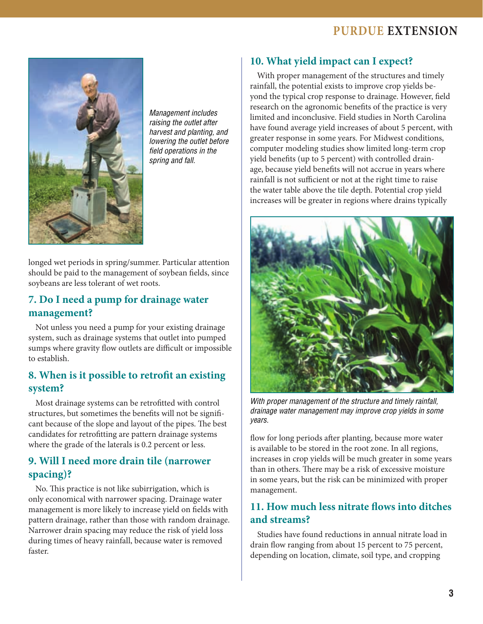### **Purdue Extension**



*Management includes raising the outlet after harvest and planting, and lowering the outlet before field operations in the spring and fall.*

longed wet periods in spring/summer. Particular attention should be paid to the management of soybean fields, since soybeans are less tolerant of wet roots.

### **7. Do I need a pump for drainage water management?**

Not unless you need a pump for your existing drainage system, such as drainage systems that outlet into pumped sumps where gravity flow outlets are difficult or impossible to establish.

### **8. When is it possible to retrofit an existing system?**

Most drainage systems can be retrofitted with control structures, but sometimes the benefits will not be significant because of the slope and layout of the pipes. The best candidates for retrofitting are pattern drainage systems where the grade of the laterals is 0.2 percent or less.

### **9. Will I need more drain tile (narrower spacing)?**

No. This practice is not like subirrigation, which is only economical with narrower spacing. Drainage water management is more likely to increase yield on fields with pattern drainage, rather than those with random drainage. Narrower drain spacing may reduce the risk of yield loss during times of heavy rainfall, because water is removed faster.

### **10. What yield impact can I expect?**

With proper management of the structures and timely rainfall, the potential exists to improve crop yields beyond the typical crop response to drainage. However, field research on the agronomic benefits of the practice is very limited and inconclusive. Field studies in North Carolina have found average yield increases of about 5 percent, with greater response in some years. For Midwest conditions, computer modeling studies show limited long-term crop yield benefits (up to 5 percent) with controlled drainage, because yield benefits will not accrue in years where rainfall is not sufficient or not at the right time to raise the water table above the tile depth. Potential crop yield increases will be greater in regions where drains typically



*With proper management of the structure and timely rainfall, drainage water management may improve crop yields in some years.*

flow for long periods after planting, because more water is available to be stored in the root zone. In all regions, increases in crop yields will be much greater in some years than in others. There may be a risk of excessive moisture in some years, but the risk can be minimized with proper management.

### **11. How much less nitrate flows into ditches and streams?**

Studies have found reductions in annual nitrate load in drain flow ranging from about 15 percent to 75 percent, depending on location, climate, soil type, and cropping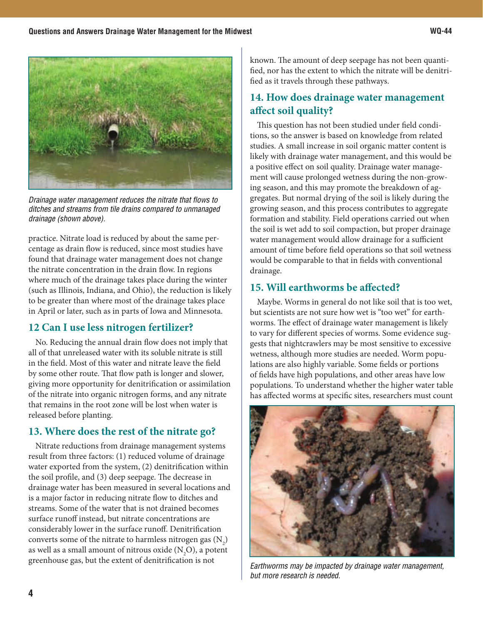

*Drainage water management reduces the nitrate that flows to ditches and streams from tile drains compared to unmanaged drainage (shown above).*

practice. Nitrate load is reduced by about the same percentage as drain flow is reduced, since most studies have found that drainage water management does not change the nitrate concentration in the drain flow. In regions where much of the drainage takes place during the winter (such as Illinois, Indiana, and Ohio), the reduction is likely to be greater than where most of the drainage takes place in April or later, such as in parts of Iowa and Minnesota.

### **12 Can I use less nitrogen fertilizer?**

No. Reducing the annual drain flow does not imply that all of that unreleased water with its soluble nitrate is still in the field. Most of this water and nitrate leave the field by some other route. That flow path is longer and slower, giving more opportunity for denitrification or assimilation of the nitrate into organic nitrogen forms, and any nitrate that remains in the root zone will be lost when water is released before planting.

### **13. Where does the rest of the nitrate go?**

Nitrate reductions from drainage management systems result from three factors: (1) reduced volume of drainage water exported from the system, (2) denitrification within the soil profile, and (3) deep seepage. The decrease in drainage water has been measured in several locations and is a major factor in reducing nitrate flow to ditches and streams. Some of the water that is not drained becomes surface runoff instead, but nitrate concentrations are considerably lower in the surface runoff. Denitrification converts some of the nitrate to harmless nitrogen gas  $(N_2)$ as well as a small amount of nitrous oxide  $({\rm N_2O})$ , a potent greenhouse gas, but the extent of denitrification is not

known. The amount of deep seepage has not been quantified, nor has the extent to which the nitrate will be denitrified as it travels through these pathways.

### **14. How does drainage water management affect soil quality?**

This question has not been studied under field conditions, so the answer is based on knowledge from related studies. A small increase in soil organic matter content is likely with drainage water management, and this would be a positive effect on soil quality. Drainage water management will cause prolonged wetness during the non-growing season, and this may promote the breakdown of aggregates. But normal drying of the soil is likely during the growing season, and this process contributes to aggregate formation and stability. Field operations carried out when the soil is wet add to soil compaction, but proper drainage water management would allow drainage for a sufficient amount of time before field operations so that soil wetness would be comparable to that in fields with conventional drainage.

### **15. Will earthworms be affected?**

Maybe. Worms in general do not like soil that is too wet, but scientists are not sure how wet is "too wet" for earthworms. The effect of drainage water management is likely to vary for different species of worms. Some evidence suggests that nightcrawlers may be most sensitive to excessive wetness, although more studies are needed. Worm populations are also highly variable. Some fields or portions of fields have high populations, and other areas have low populations. To understand whether the higher water table has affected worms at specific sites, researchers must count



*Earthworms may be impacted by drainage water management, but more research is needed.*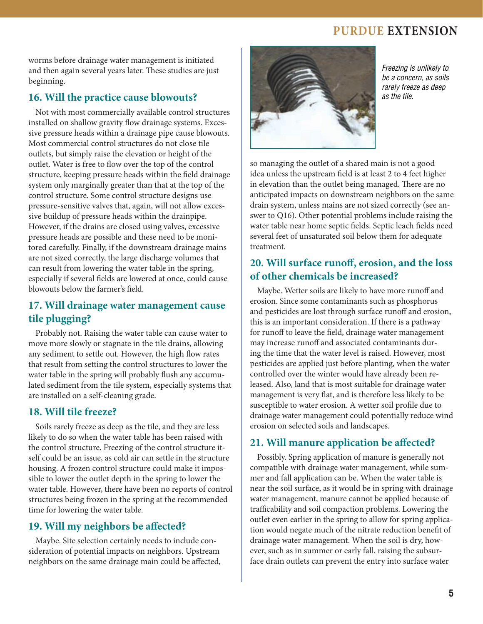### **Purdue Extension**

worms before drainage water management is initiated and then again several years later. These studies are just beginning.

### **16. Will the practice cause blowouts?**

Not with most commercially available control structures installed on shallow gravity flow drainage systems. Excessive pressure heads within a drainage pipe cause blowouts. Most commercial control structures do not close tile outlets, but simply raise the elevation or height of the outlet. Water is free to flow over the top of the control structure, keeping pressure heads within the field drainage system only marginally greater than that at the top of the control structure. Some control structure designs use pressure-sensitive valves that, again, will not allow excessive buildup of pressure heads within the drainpipe. However, if the drains are closed using valves, excessive pressure heads are possible and these need to be monitored carefully. Finally, if the downstream drainage mains are not sized correctly, the large discharge volumes that can result from lowering the water table in the spring, especially if several fields are lowered at once, could cause blowouts below the farmer's field.

### **17. Will drainage water management cause tile plugging?**

Probably not. Raising the water table can cause water to move more slowly or stagnate in the tile drains, allowing any sediment to settle out. However, the high flow rates that result from setting the control structures to lower the water table in the spring will probably flush any accumulated sediment from the tile system, especially systems that are installed on a self-cleaning grade.

#### **18. Will tile freeze?**

Soils rarely freeze as deep as the tile, and they are less likely to do so when the water table has been raised with the control structure. Freezing of the control structure itself could be an issue, as cold air can settle in the structure housing. A frozen control structure could make it impossible to lower the outlet depth in the spring to lower the water table. However, there have been no reports of control structures being frozen in the spring at the recommended time for lowering the water table.

### **19. Will my neighbors be affected?**

Maybe. Site selection certainly needs to include consideration of potential impacts on neighbors. Upstream neighbors on the same drainage main could be affected,



*Freezing is unlikely to be a concern, as soils rarely freeze as deep as the tile.*

so managing the outlet of a shared main is not a good idea unless the upstream field is at least 2 to 4 feet higher in elevation than the outlet being managed. There are no anticipated impacts on downstream neighbors on the same drain system, unless mains are not sized correctly (see answer to Q16). Other potential problems include raising the water table near home septic fields. Septic leach fields need several feet of unsaturated soil below them for adequate treatment.

### **20. Will surface runoff, erosion, and the loss of other chemicals be increased?**

Maybe. Wetter soils are likely to have more runoff and erosion. Since some contaminants such as phosphorus and pesticides are lost through surface runoff and erosion, this is an important consideration. If there is a pathway for runoff to leave the field, drainage water management may increase runoff and associated contaminants during the time that the water level is raised. However, most pesticides are applied just before planting, when the water controlled over the winter would have already been released. Also, land that is most suitable for drainage water management is very flat, and is therefore less likely to be susceptible to water erosion. A wetter soil profile due to drainage water management could potentially reduce wind erosion on selected soils and landscapes.

### **21. Will manure application be affected?**

Possibly. Spring application of manure is generally not compatible with drainage water management, while summer and fall application can be. When the water table is near the soil surface, as it would be in spring with drainage water management, manure cannot be applied because of trafficability and soil compaction problems. Lowering the outlet even earlier in the spring to allow for spring application would negate much of the nitrate reduction benefit of drainage water management. When the soil is dry, however, such as in summer or early fall, raising the subsurface drain outlets can prevent the entry into surface water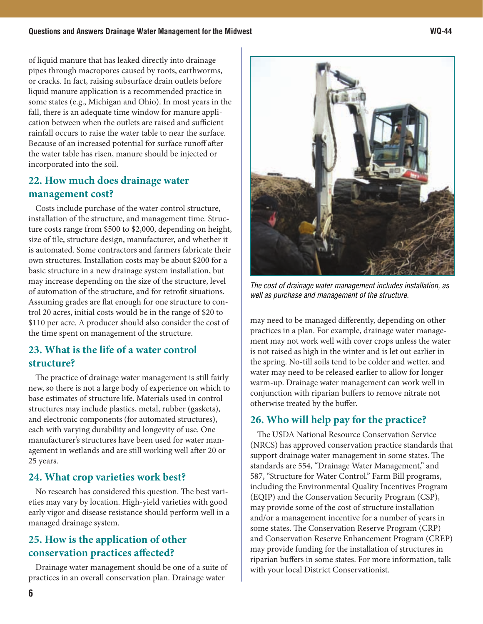of liquid manure that has leaked directly into drainage pipes through macropores caused by roots, earthworms, or cracks. In fact, raising subsurface drain outlets before liquid manure application is a recommended practice in some states (e.g., Michigan and Ohio). In most years in the fall, there is an adequate time window for manure application between when the outlets are raised and sufficient rainfall occurs to raise the water table to near the surface. Because of an increased potential for surface runoff after the water table has risen, manure should be injected or incorporated into the soil.

### **22. How much does drainage water management cost?**

Costs include purchase of the water control structure, installation of the structure, and management time. Structure costs range from \$500 to \$2,000, depending on height, size of tile, structure design, manufacturer, and whether it is automated. Some contractors and farmers fabricate their own structures. Installation costs may be about \$200 for a basic structure in a new drainage system installation, but may increase depending on the size of the structure, level of automation of the structure, and for retrofit situations. Assuming grades are flat enough for one structure to control 20 acres, initial costs would be in the range of \$20 to \$110 per acre. A producer should also consider the cost of the time spent on management of the structure.

### **23. What is the life of a water control structure?**

The practice of drainage water management is still fairly new, so there is not a large body of experience on which to base estimates of structure life. Materials used in control structures may include plastics, metal, rubber (gaskets), and electronic components (for automated structures), each with varying durability and longevity of use. One manufacturer's structures have been used for water management in wetlands and are still working well after 20 or 25 years.

### **24. What crop varieties work best?**

No research has considered this question. The best varieties may vary by location. High-yield varieties with good early vigor and disease resistance should perform well in a managed drainage system.

### **25. How is the application of other conservation practices affected?**

Drainage water management should be one of a suite of practices in an overall conservation plan. Drainage water



may need to be managed differently, depending on other practices in a plan. For example, drainage water management may not work well with cover crops unless the water is not raised as high in the winter and is let out earlier in the spring. No-till soils tend to be colder and wetter, and water may need to be released earlier to allow for longer warm-up. Drainage water management can work well in conjunction with riparian buffers to remove nitrate not otherwise treated by the buffer.

### **26. Who will help pay for the practice?**

The USDA National Resource Conservation Service (NRCS) has approved conservation practice standards that support drainage water management in some states. The standards are 554, "Drainage Water Management," and 587, "Structure for Water Control." Farm Bill programs, including the Environmental Quality Incentives Program (EQIP) and the Conservation Security Program (CSP), may provide some of the cost of structure installation and/or a management incentive for a number of years in some states. The Conservation Reserve Program (CRP) and Conservation Reserve Enhancement Program (CREP) may provide funding for the installation of structures in riparian buffers in some states. For more information, talk with your local District Conservationist.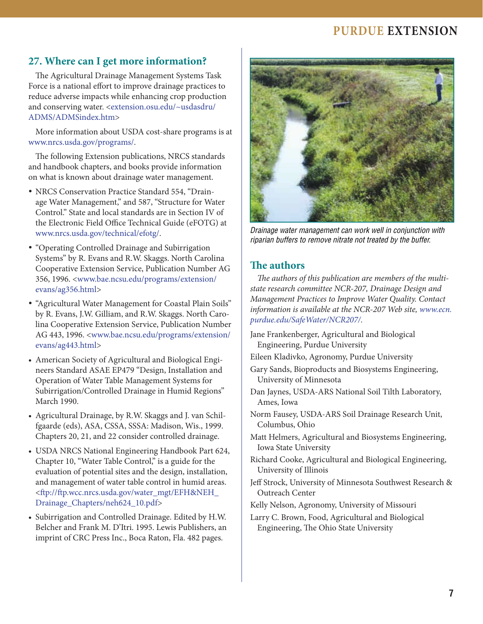### **Purdue Extension**

### **27. Where can I get more information?**

The Agricultural Drainage Management Systems Task Force is a national effort to improve drainage practices to reduce adverse impacts while enhancing crop production and conserving water. [<extension.osu.edu/~usdasdru/](http://extension.osu.edu/~usdasdru/ADMS/ADMSindex.htm) [ADMS/ADMSindex.htm>](http://extension.osu.edu/~usdasdru/ADMS/ADMSindex.htm)

More information about USDA cost-share programs is at [www.nrcs.usda.gov/programs/.](http://www.nrcs.usda.gov/programs)

The following Extension publications, NRCS standards and handbook chapters, and books provide information on what is known about drainage water management.

- NRCS Conservation Practice Standard 554, "Drainage Water Management," and 587, "Structure for Water Control." State and local standards are in Section IV of the Electronic Field Office Technical Guide (eFOTG) at [www.nrcs.usda.gov/technical/efotg/.](http://www.nrcs.usda.gov/technical/efotg)
- • "Operating Controlled Drainage and Subirrigation Systems" by R. Evans and R.W. Skaggs. North Carolina Cooperative Extension Service, Publication Number AG 356, 1996. [<www.bae.ncsu.edu/programs/extension/](http://www.bae.ncsu.edu/programs/extension/evans/ag356.html) [evans/ag356.html>](http://www.bae.ncsu.edu/programs/extension/evans/ag356.html)
- • "Agricultural Water Management for Coastal Plain Soils" by R. Evans, J.W. Gilliam, and R.W. Skaggs. North Carolina Cooperative Extension Service, Publication Number AG 443, 1996. <[www.bae.ncsu.edu/programs/extension/](http://www.bae.ncsu.edu/programs/extension/evans/ag443.html) [evans/ag443.html>](http://www.bae.ncsu.edu/programs/extension/evans/ag443.html)
- American Society of Agricultural and Biological Engineers Standard ASAE EP479 "Design, Installation and Operation of Water Table Management Systems for Subirrigation/Controlled Drainage in Humid Regions" March 1990.
- Agricultural Drainage, by R.W. Skaggs and J. van Schilfgaarde (eds), ASA, CSSA, SSSA: Madison, Wis., 1999. Chapters 20, 21, and 22 consider controlled drainage.
- USDA NRCS National Engineering Handbook Part 624, Chapter 10, "Water Table Control," is a guide for the evaluation of potential sites and the design, installation, and management of water table control in humid areas. [<ftp://ftp.wcc.nrcs.usda.gov/water\\_mgt/EFH&NEH\\_](ftp://ftp.wcc.nrcs.usda.gov/water_mgt/EFH&NEH_Drainage_Chapters/neh624_10.pdf) [Drainage\\_Chapters/neh624\\_10.pdf>](ftp://ftp.wcc.nrcs.usda.gov/water_mgt/EFH&NEH_Drainage_Chapters/neh624_10.pdf)
- Subirrigation and Controlled Drainage. Edited by H.W. Belcher and Frank M. D'Itri. 1995. Lewis Publishers, an imprint of CRC Press Inc., Boca Raton, Fla. 482 pages.



*Drainage water management can work well in conjunction with riparian buffers to remove nitrate not treated by the buffer.*

#### **The authors**

*The authors of this publication are members of the multistate research committee NCR-207, Drainage Design and Management Practices to Improve Water Quality. Contact information is available at the NCR-207 Web site, [www.ecn.](http://www.ecn.purdue.edu/SafeWater/NCR207/) [purdue.edu/SafeWater/NCR207/.](http://www.ecn.purdue.edu/SafeWater/NCR207/)*

- Jane Frankenberger, Agricultural and Biological Engineering, Purdue University
- Eileen Kladivko, Agronomy, Purdue University
- Gary Sands, Bioproducts and Biosystems Engineering, University of Minnesota
- Dan Jaynes, USDA-ARS National Soil Tilth Laboratory, Ames, Iowa
- Norm Fausey, USDA-ARS Soil Drainage Research Unit, Columbus, Ohio
- Matt Helmers, Agricultural and Biosystems Engineering, Iowa State University
- Richard Cooke, Agricultural and Biological Engineering, University of Illinois
- Jeff Strock, University of Minnesota Southwest Research & Outreach Center
- Kelly Nelson, Agronomy, University of Missouri
- Larry C. Brown, Food, Agricultural and Biological Engineering, The Ohio State University